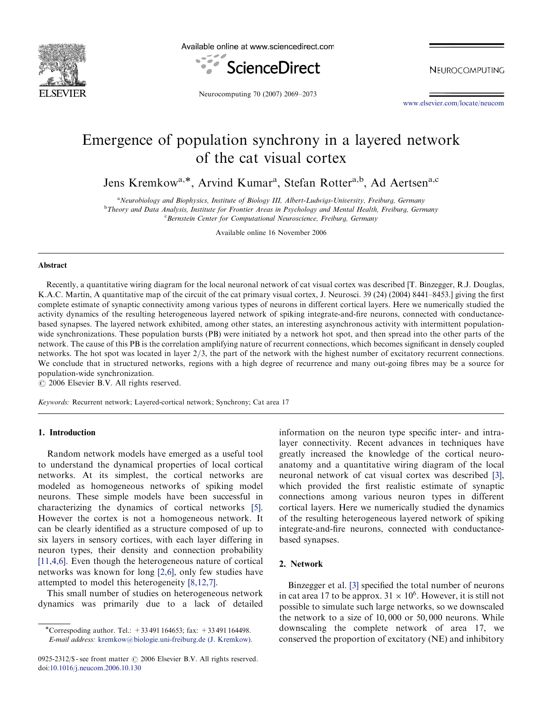

Available online at www.sciencedirect.com



NEUROCOMPUTING

Neurocomputing 70 (2007) 2069–2073

[www.elsevier.com/locate/neucom](http://www.elsevier.com/locate/neucom)

# Emergence of population synchrony in a layered network of the cat visual cortex

Jens Kremkow<sup>a,\*</sup>, Arvind Kumar<sup>a</sup>, Stefan Rotter<sup>a,b</sup>, Ad Aertsen<sup>a,c</sup>

<sup>a</sup> Neurobiology and Biophysics, Institute of Biology III, Albert-Ludwigs-University, Freiburg, Germany<br><sup>b</sup> Theory and Data Anglysis, Institute for Frontier Areas in Psychology and Mental Health, Freiburg, Germ <sup>b</sup>Theory and Data Analysis, Institute for Frontier Areas in Psychology and Mental Health, Freiburg, Germany Bernstein Center for Computational Neuroscience, Freiburg, Germany

Available online 16 November 2006

#### Abstract

Recently, a quantitative wiring diagram for the local neuronal network of cat visual cortex was described [T. Binzegger, R.J. Douglas, K.A.C. Martin, A quantitative map of the circuit of the cat primary visual cortex, J. Neurosci. 39 (24) (2004) 8441–8453.] giving the first complete estimate of synaptic connectivity among various types of neurons in different cortical layers. Here we numerically studied the activity dynamics of the resulting heterogeneous layered network of spiking integrate-and-fire neurons, connected with conductancebased synapses. The layered network exhibited, among other states, an interesting asynchronous activity with intermittent populationwide synchronizations. These population bursts (PB) were initiated by a network hot spot, and then spread into the other parts of the network. The cause of this PB is the correlation amplifying nature of recurrent connections, which becomes significant in densely coupled networks. The hot spot was located in layer  $2/3$ , the part of the network with the highest number of excitatory recurrent connections. We conclude that in structured networks, regions with a high degree of recurrence and many out-going fibres may be a source for population-wide synchronization.

 $C$  2006 Elsevier B.V. All rights reserved.

Keywords: Recurrent network; Layered-cortical network; Synchrony; Cat area 17

#### 1. Introduction

Random network models have emerged as a useful tool to understand the dynamical properties of local cortical networks. At its simplest, the cortical networks are modeled as homogeneous networks of spiking model neurons. These simple models have been successful in characterizing the dynamics of cortical networks [\[5\].](#page-4-0) However the cortex is not a homogeneous network. It can be clearly identified as a structure composed of up to six layers in sensory cortices, with each layer differing in neuron types, their density and connection probability [\[11,4,6\]](#page-4-0). Even though the heterogeneous nature of cortical networks was known for long [\[2,6\]](#page-4-0), only few studies have attempted to model this heterogeneity [\[8,12,7\].](#page-4-0)

This small number of studies on heterogeneous network dynamics was primarily due to a lack of detailed information on the neuron type specific inter- and intralayer connectivity. Recent advances in techniques have greatly increased the knowledge of the cortical neuroanatomy and a quantitative wiring diagram of the local neuronal network of cat visual cortex was described [\[3\],](#page-4-0) which provided the first realistic estimate of synaptic connections among various neuron types in different cortical layers. Here we numerically studied the dynamics of the resulting heterogeneous layered network of spiking integrate-and-fire neurons, connected with conductancebased synapses.

### 2. Network

Binzegger et al. [\[3\]](#page-4-0) specified the total number of neurons in cat area 17 to be approx.  $31 \times 10^6$ . However, it is still not possible to simulate such large networks, so we downscaled the network to a size of 10; 000 or 50; 000 neurons. While downscaling the complete network of area 17, we conserved the proportion of excitatory (NE) and inhibitory

<sup>\*</sup>Correspoding author. Tel.:  $+33491164653$ ; fax:  $+33491164498$ . E-mail address: [kremkow@biologie.uni-freiburg.de](mailto:kremkow@biologie.uni-freiburg.de) (J. Kremkow).

<sup>0925-2312/\$ -</sup> see front matter  $\odot$  2006 Elsevier B.V. All rights reserved. doi:[10.1016/j.neucom.2006.10.130](http://dx.doi.org/10.1016/j.neucom.2006.10.130)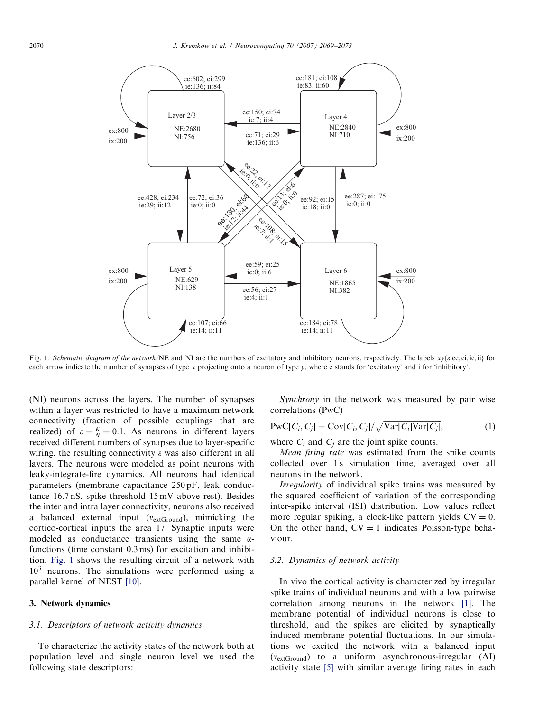

Fig. 1. Schematic diagram of the network:NE and NI are the numbers of excitatory and inhibitory neurons, respectively. The labels  $xy\{e$  ee, ei, ie, ii} for each arrow indicate the number of synapses of type x projecting onto a neuron of type y, where e stands for 'excitatory' and i for 'inhibitory'.

(NI) neurons across the layers. The number of synapses within a layer was restricted to have a maximum network connectivity (fraction of possible couplings that are realized) of  $\varepsilon = \frac{K}{N} = 0.1$ . As neurons in different layers received different numbers of synapses due to layer-specific wiring, the resulting connectivity  $\varepsilon$  was also different in all layers. The neurons were modeled as point neurons with leaky-integrate-fire dynamics. All neurons had identical parameters (membrane capacitance 250 pF, leak conductance 16.7 nS, spike threshold 15 mV above rest). Besides the inter and intra layer connectivity, neurons also received a balanced external input  $(v_{extGround})$ , mimicking the cortico-cortical inputs the area 17. Synaptic inputs were modeled as conductance transients using the same  $\alpha$ functions (time constant 0.3 ms) for excitation and inhibition. Fig. 1 shows the resulting circuit of a network with  $10<sup>3</sup>$  neurons. The simulations were performed using a parallel kernel of NEST [\[10\]](#page-4-0).

#### 3. Network dynamics

### 3.1. Descriptors of network activity dynamics

To characterize the activity states of the network both at population level and single neuron level we used the following state descriptors:

Synchrony in the network was measured by pair wise correlations (PwC)

$$
PwC[C_i, C_j] = Cov[C_i, C_j]/\sqrt{Var[C_i]Var[C_j]},
$$
\n(1)

where  $C_i$  and  $C_j$  are the joint spike counts.

Mean firing rate was estimated from the spike counts collected over 1 s simulation time, averaged over all neurons in the network.

Irregularity of individual spike trains was measured by the squared coefficient of variation of the corresponding inter-spike interval (ISI) distribution. Low values reflect more regular spiking, a clock-like pattern yields  $CV = 0$ . On the other hand,  $CV = 1$  indicates Poisson-type behaviour.

#### 3.2. Dynamics of network activity

In vivo the cortical activity is characterized by irregular spike trains of individual neurons and with a low pairwise correlation among neurons in the network [\[1\].](#page-4-0) The membrane potential of individual neurons is close to threshold, and the spikes are elicited by synaptically induced membrane potential fluctuations. In our simulations we excited the network with a balanced input  $(v_{extGround})$  to a uniform asynchronous-irregular (AI) activity state [\[5\]](#page-4-0) with similar average firing rates in each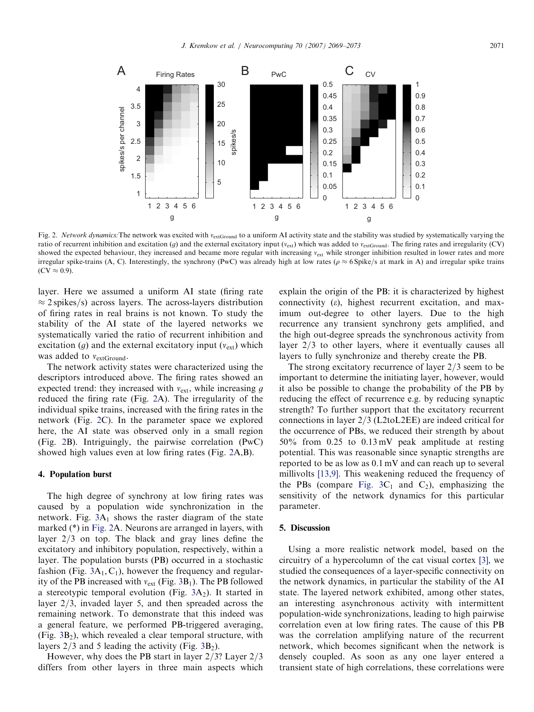<span id="page-2-0"></span>

Fig. 2. Network dynamics: The network was excited with v<sub>extGround</sub> to a uniform AI activity state and the stability was studied by systematically varying the ratio of recurrent inhibition and excitation (q) and the external excitatory input  $(v_{ext})$  which was added to  $v_{extGround}$ . The firing rates and irregularity (CV) showed the expected behaviour, they increased and became more regular with increasing  $v_{\text{ext}}$  while stronger inhibition resulted in lower rates and more irregular spike-trains (A, C). Interestingly, the synchrony (PwC) was already high at low rates ( $\rho \approx 6$  Spike/s at mark in A) and irregular spike trains  $(CV \approx 0.9)$ .

layer. Here we assumed a uniform AI state (firing rate  $\approx$  2 spikes/s) across layers. The across-layers distribution of firing rates in real brains is not known. To study the stability of the AI state of the layered networks we systematically varied the ratio of recurrent inhibition and excitation (*g*) and the external excitatory input  $(v_{ext})$  which was added to  $v_{extGround}$ .

The network activity states were characterized using the descriptors introduced above. The firing rates showed an expected trend: they increased with  $v_{\text{ext}}$ , while increasing g reduced the firing rate (Fig. 2A). The irregularity of the individual spike trains, increased with the firing rates in the network (Fig. 2C). In the parameter space we explored here, the AI state was observed only in a small region (Fig. 2B). Intriguingly, the pairwise correlation (PwC) showed high values even at low firing rates (Fig. 2A,B).

### 4. Population burst

The high degree of synchrony at low firing rates was caused by a population wide synchronization in the network. Fig.  $3A_1$  $3A_1$  shows the raster diagram of the state marked (\*) in Fig. 2A. Neurons are arranged in layers, with layer  $2/3$  on top. The black and gray lines define the excitatory and inhibitory population, respectively, within a layer. The population bursts (PB) occurred in a stochastic fashion (Fig.  $3A_1, C_1$  $3A_1, C_1$ ), however the frequency and regularity of the PB increased with  $v_{ext}$  (Fig. [3](#page-3-0)B<sub>1</sub>). The PB followed a stereotypic temporal evolution (Fig.  $3A_2$  $3A_2$ ). It started in layer  $2/3$ , invaded layer 5, and then spreaded across the remaining network. To demonstrate that this indeed was a general feature, we performed PB-triggered averaging,  $(Fig. 3B<sub>2</sub>)$  $(Fig. 3B<sub>2</sub>)$  $(Fig. 3B<sub>2</sub>)$ , which revealed a clear temporal structure, with layers  $2/3$  and 5 leading the activity (Fig. [3B](#page-3-0)<sub>2</sub>).

However, why does the PB start in layer  $2/3$ ? Layer  $2/3$ differs from other layers in three main aspects which explain the origin of the PB: it is characterized by highest connectivity  $(\varepsilon)$ , highest recurrent excitation, and maximum out-degree to other layers. Due to the high recurrence any transient synchrony gets amplified, and the high out-degree spreads the synchronous activity from layer  $2/3$  to other layers, where it eventually causes all layers to fully synchronize and thereby create the PB.

The strong excitatory recurrence of layer  $2/3$  seem to be important to determine the initiating layer, however, would it also be possible to change the probability of the PB by reducing the effect of recurrence e.g. by reducing synaptic strength? To further support that the excitatory recurrent connections in layer  $2/3$  (L2toL2EE) are indeed critical for the occurrence of PBs, we reduced their strength by about 50% from 0.25 to 0.13 mV peak amplitude at resting potential. This was reasonable since synaptic strengths are reported to be as low as 0.1 mV and can reach up to several millivolts [\[13,9\].](#page-4-0) This weakening reduced the frequency of the PBs (compare [Fig.](#page-3-0)  $3C_1$  and  $C_2$ ), emphasizing the sensitivity of the network dynamics for this particular parameter.

#### 5. Discussion

Using a more realistic network model, based on the circuitry of a hypercolumn of the cat visual cortex [\[3\],](#page-4-0) we studied the consequences of a layer-specific connectivity on the network dynamics, in particular the stability of the AI state. The layered network exhibited, among other states, an interesting asynchronous activity with intermittent population-wide synchronizations, leading to high pairwise correlation even at low firing rates. The cause of this PB was the correlation amplifying nature of the recurrent network, which becomes significant when the network is densely coupled. As soon as any one layer entered a transient state of high correlations, these correlations were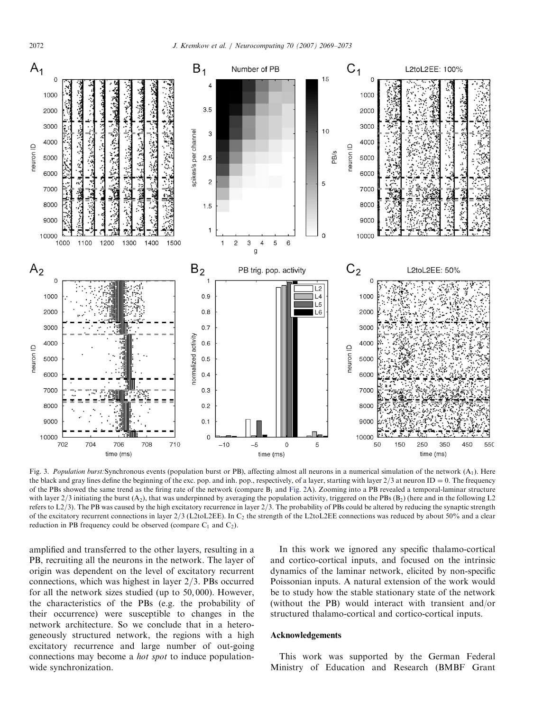<span id="page-3-0"></span>

Fig. 3. Population burst: Synchronous events (population burst or PB), affecting almost all neurons in a numerical simulation of the network  $(A_1)$ . Here the black and gray lines define the beginning of the exc. pop. and inh. pop., respectively, of a layer, starting with layer  $2/3$  at neuron ID = 0. The frequency of the PBs showed the same trend as the firing rate of the network (compare  $B_1$  and [Fig.](#page-2-0) 2A). Zooming into a PB revealed a temporal-laminar structure with layer  $2/3$  initiating the burst (A<sub>2</sub>), that was underpinned by averaging the population activity, triggered on the PBs (B<sub>2</sub>) (here and in the following L<sub>2</sub>) refers to  $L<sub>2</sub>/3$ ). The PB was caused by the high excitatory recurrence in layer  $2/3$ . The probability of PBs could be altered by reducing the synaptic strength of the excitatory recurrent connections in layer  $2/3$  (L2toL2EE). In C<sub>2</sub> the strength of the L2toL2EE connections was reduced by about 50% and a clear reduction in PB frequency could be observed (compare  $C_1$  and  $C_2$ ).

amplified and transferred to the other layers, resulting in a PB, recruiting all the neurons in the network. The layer of origin was dependent on the level of excitatory recurrent connections, which was highest in layer  $2/3$ . PBs occurred for all the network sizes studied (up to 50; 000). However, the characteristics of the PBs (e.g. the probability of their occurrence) were susceptible to changes in the network architecture. So we conclude that in a heterogeneously structured network, the regions with a high excitatory recurrence and large number of out-going connections may become a hot spot to induce populationwide synchronization.

In this work we ignored any specific thalamo-cortical and cortico-cortical inputs, and focused on the intrinsic dynamics of the laminar network, elicited by non-specific Poissonian inputs. A natural extension of the work would be to study how the stable stationary state of the network (without the PB) would interact with transient and/or structured thalamo-cortical and cortico-cortical inputs.

#### Acknowledgements

This work was supported by the German Federal Ministry of Education and Research (BMBF Grant